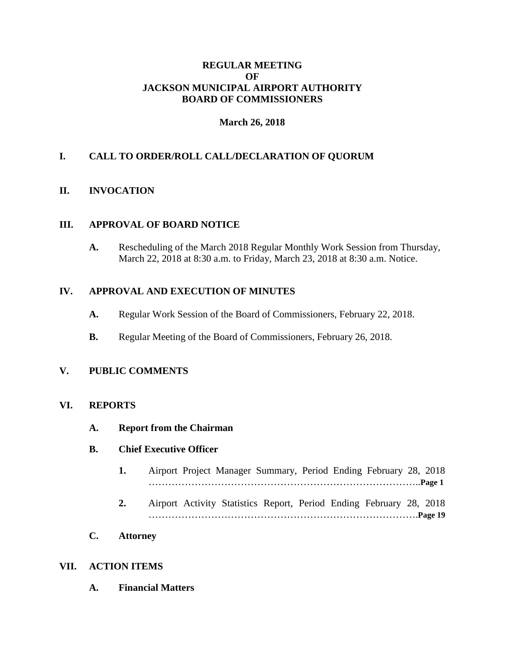## **REGULAR MEETING OF JACKSON MUNICIPAL AIRPORT AUTHORITY BOARD OF COMMISSIONERS**

# **March 26, 2018**

# **I. CALL TO ORDER/ROLL CALL/DECLARATION OF QUORUM**

## **II. INVOCATION**

## **III. APPROVAL OF BOARD NOTICE**

**A.** Rescheduling of the March 2018 Regular Monthly Work Session from Thursday, March 22, 2018 at 8:30 a.m. to Friday, March 23, 2018 at 8:30 a.m. Notice.

#### **IV. APPROVAL AND EXECUTION OF MINUTES**

- **A.** Regular Work Session of the Board of Commissioners, February 22, 2018.
- **B.** Regular Meeting of the Board of Commissioners, February 26, 2018.

## **V. PUBLIC COMMENTS**

#### **VI. REPORTS**

**A. Report from the Chairman**

#### **B. Chief Executive Officer**

- **1.** Airport Project Manager Summary, Period Ending February 28, 2018 ………………………………………………………………………..**Page 1**
- **2.** Airport Activity Statistics Report, Period Ending February 28, 2018 ……………………………………………………………………….**Page 19**
- **C. Attorney**

#### **VII. ACTION ITEMS**

**A. Financial Matters**